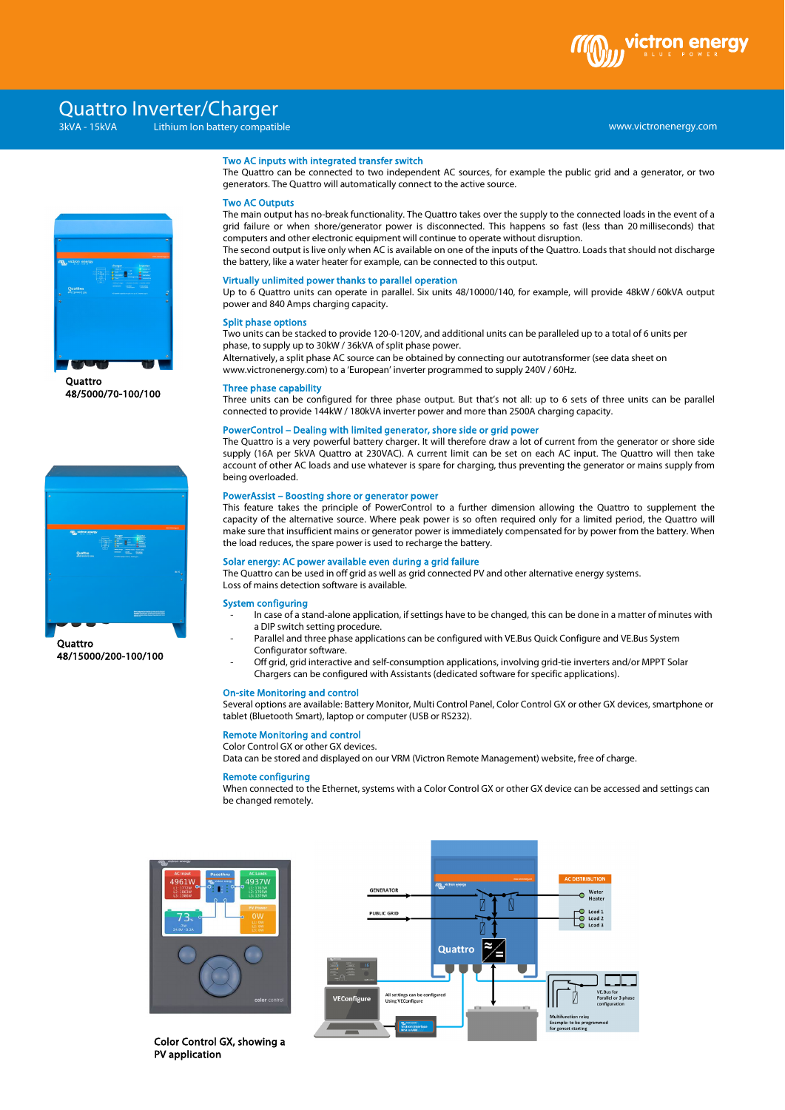

# Quattro Inverter/Charger

## www.victronenergy.com xxx 3kVA - 15kVA Lithium Ion battery compatible



**Ouattro** 48/5000/70-100/100



**Quattro** 48/15000/200-100/100

#### Two AC inputs with integrated transfer switch

The Quattro can be connected to two independent AC sources, for example the public grid and a generator, or two generators. The Quattro will automatically connect to the active source.

#### Two AC Outputs

The main output has no-break functionality. The Quattro takes over the supply to the connected loads in the event of a grid failure or when shore/generator power is disconnected. This happens so fast (less than 20 milliseconds) that computers and other electronic equipment will continue to operate without disruption.

The second output is live only when AC is available on one of the inputs of the Quattro. Loads that should not discharge the battery, like a water heater for example, can be connected to this output.

#### Virtually unlimited power thanks to parallel operation

Up to 6 Quattro units can operate in parallel. Six units 48/10000/140, for example, will provide 48kW / 60kVA output power and 840 Amps charging capacity.

#### Split phase options

Two units can be stacked to provide 120-0-120V, and additional units can be paralleled up to a total of 6 units per phase, to supply up to 30kW / 36kVA of split phase power.

Alternatively, a split phase AC source can be obtained by connecting our autotransformer (see data sheet on www.victronenergy.com) to a 'European' inverter programmed to supply 240V / 60Hz.

#### Three phase capability

Three units can be configured for three phase output. But that's not all: up to 6 sets of three units can be parallel connected to provide 144kW / 180kVA inverter power and more than 2500A charging capacity.

#### PowerControl – Dealing with limited generator, shore side or grid power

The Quattro is a very powerful battery charger. It will therefore draw a lot of current from the generator or shore side supply (16A per 5kVA Quattro at 230VAC). A current limit can be set on each AC input. The Quattro will then take account of other AC loads and use whatever is spare for charging, thus preventing the generator or mains supply from being overloaded.

#### PowerAssist – Boosting shore or generator power

This feature takes the principle of PowerControl to a further dimension allowing the Quattro to supplement the capacity of the alternative source. Where peak power is so often required only for a limited period, the Quattro will make sure that insufficient mains or generator power is immediately compensated for by power from the battery. When the load reduces, the spare power is used to recharge the battery.

#### Solar energy: AC power available even during a grid failure

The Quattro can be used in off grid as well as grid connected PV and other alternative energy systems. Loss of mains detection software is available.

#### System configuring

- In case of a stand-alone application, if settings have to be changed, this can be done in a matter of minutes with a DIP switch setting procedure.
	- Parallel and three phase applications can be configured with VE.Bus Quick Configure and VE.Bus System Configurator software.
- Off grid, grid interactive and self-consumption applications, involving grid-tie inverters and/or MPPT Solar Chargers can be configured with Assistants (dedicated software for specific applications).

#### On-site Monitoring and control

Several options are available: Battery Monitor, Multi Control Panel, Color Control GX or other GX devices, smartphone or tablet (Bluetooth Smart), laptop or computer (USB or RS232).

#### Remote Monitoring and control

Color Control GX or other GX devices.

Data can be stored and displayed on our VRM (Victron Remote Management) website, free of charge.

#### Remote configuring

When connected to the Ethernet, systems with a Color Control GX or other GX device can be accessed and settings can be changed remotely.



GENERATOR **PUBLIC GRID** |≋∕≦ Quattro All settings can b<br>Using VEConfigur

Color Control GX, showing a PV application